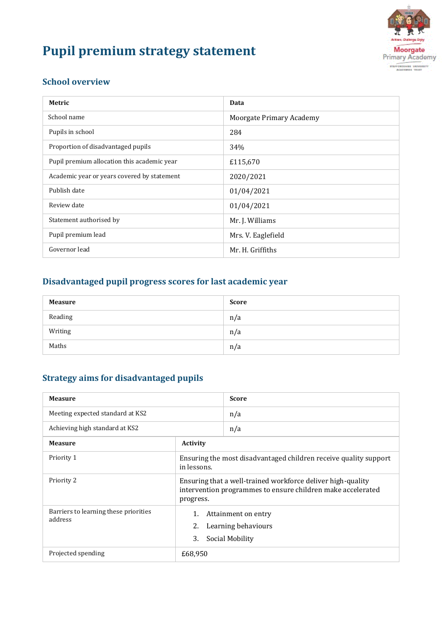# **Pupil premium strategy statement**



#### **School overview**

| Metric                                      | Data                     |
|---------------------------------------------|--------------------------|
| School name                                 | Moorgate Primary Academy |
| Pupils in school                            | 284                      |
| Proportion of disadvantaged pupils          | 34%                      |
| Pupil premium allocation this academic year | £115,670                 |
| Academic year or years covered by statement | 2020/2021                |
| Publish date                                | 01/04/2021               |
| Review date                                 | 01/04/2021               |
| Statement authorised by                     | Mr. J. Williams          |
| Pupil premium lead                          | Mrs. V. Eaglefield       |
| Governor lead                               | Mr. H. Griffiths         |

# **Disadvantaged pupil progress scores for last academic year**

| <b>Measure</b> | <b>Score</b> |
|----------------|--------------|
| Reading        | n/a          |
| Writing        | n/a          |
| Maths          | n/a          |

## **Strategy aims for disadvantaged pupils**

| <b>Measure</b>                                   |                                                                                                                                         | <b>Score</b> |  |  |
|--------------------------------------------------|-----------------------------------------------------------------------------------------------------------------------------------------|--------------|--|--|
| Meeting expected standard at KS2                 |                                                                                                                                         | n/a          |  |  |
| Achieving high standard at KS2                   |                                                                                                                                         | n/a          |  |  |
| <b>Measure</b>                                   | <b>Activity</b>                                                                                                                         |              |  |  |
| Priority 1                                       | Ensuring the most disadvantaged children receive quality support<br>in lessons.                                                         |              |  |  |
| Priority 2                                       | Ensuring that a well-trained workforce deliver high-quality<br>intervention programmes to ensure children make accelerated<br>progress. |              |  |  |
| Barriers to learning these priorities<br>address | Attainment on entry<br>2.<br>Learning behaviours<br>3.<br>Social Mobility                                                               |              |  |  |
| Projected spending                               | £68,950                                                                                                                                 |              |  |  |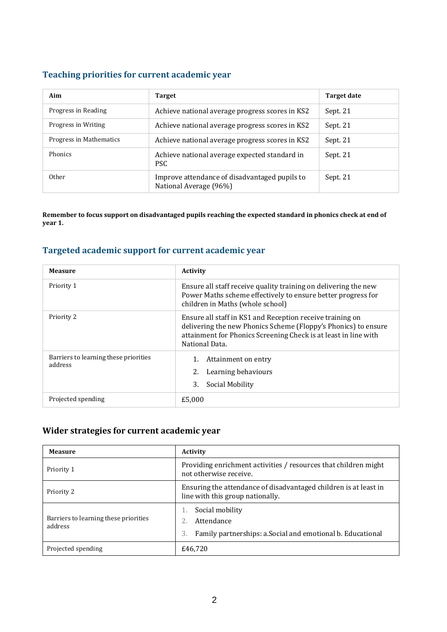#### **Teaching priorities for current academic year**

| Aim                     | <b>Target</b>                                                           | <b>Target date</b> |
|-------------------------|-------------------------------------------------------------------------|--------------------|
| Progress in Reading     | Achieve national average progress scores in KS2                         | Sept. 21           |
| Progress in Writing     | Achieve national average progress scores in KS2                         | Sept. 21           |
| Progress in Mathematics | Achieve national average progress scores in KS2                         | Sept. 21           |
| <b>Phonics</b>          | Achieve national average expected standard in<br><b>PSC</b>             | Sept. 21           |
| Other                   | Improve attendance of disadvantaged pupils to<br>National Average (96%) | Sept. 21           |

**Remember to focus support on disadvantaged pupils reaching the expected standard in phonics check at end of year 1.**

#### **Targeted academic support for current academic year**

| <b>Measure</b>                                   | <b>Activity</b>                                                                                                                                                                                                  |  |  |  |
|--------------------------------------------------|------------------------------------------------------------------------------------------------------------------------------------------------------------------------------------------------------------------|--|--|--|
| Priority 1                                       | Ensure all staff receive quality training on delivering the new<br>Power Maths scheme effectively to ensure better progress for<br>children in Maths (whole school)                                              |  |  |  |
| Priority 2                                       | Ensure all staff in KS1 and Reception receive training on<br>delivering the new Phonics Scheme (Floppy's Phonics) to ensure<br>attainment for Phonics Screening Check is at least in line with<br>National Data. |  |  |  |
| Barriers to learning these priorities<br>address | Attainment on entry<br>Learning behaviours<br>Social Mobility<br>3.                                                                                                                                              |  |  |  |
| Projected spending                               | £5,000                                                                                                                                                                                                           |  |  |  |

#### **Wider strategies for current academic year**

| <b>Measure</b>                                   | <b>Activity</b>                                                                                      |  |  |
|--------------------------------------------------|------------------------------------------------------------------------------------------------------|--|--|
| Priority 1                                       | Providing enrichment activities / resources that children might<br>not otherwise receive.            |  |  |
| Priority 2                                       | Ensuring the attendance of disadvantaged children is at least in<br>line with this group nationally. |  |  |
| Barriers to learning these priorities<br>address | Social mobility<br>Attendance<br>Family partnerships: a.Social and emotional b. Educational<br>3     |  |  |
| Projected spending                               | £46.720                                                                                              |  |  |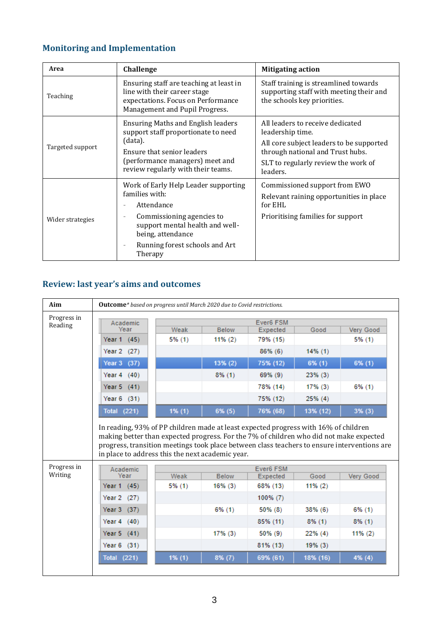# **Monitoring and Implementation**

| Area                                                                                                                                                        | Challenge                                                                                                                                                                                                                          | <b>Mitigating action</b>                                                                                                                                                                |  |  |
|-------------------------------------------------------------------------------------------------------------------------------------------------------------|------------------------------------------------------------------------------------------------------------------------------------------------------------------------------------------------------------------------------------|-----------------------------------------------------------------------------------------------------------------------------------------------------------------------------------------|--|--|
| Ensuring staff are teaching at least in<br>line with their career stage<br>Teaching<br>expectations. Focus on Performance<br>Management and Pupil Progress. |                                                                                                                                                                                                                                    | Staff training is streamlined towards<br>supporting staff with meeting their and<br>the schools key priorities.                                                                         |  |  |
| Targeted support                                                                                                                                            | <b>Ensuring Maths and English leaders</b><br>support staff proportionate to need<br>(data).<br>Ensure that senior leaders<br>(performance managers) meet and<br>review regularly with their teams.                                 | All leaders to receive dedicated<br>leadership time.<br>All core subject leaders to be supported<br>through national and Trust hubs.<br>SLT to regularly review the work of<br>leaders. |  |  |
| Wider strategies                                                                                                                                            | Work of Early Help Leader supporting<br>families with:<br>Attendance<br>Commissioning agencies to<br>$\overline{\phantom{a}}$<br>support mental health and well-<br>being, attendance<br>Running forest schools and Art<br>Therapy | Commissioned support from EWO<br>Relevant raining opportunities in place<br>for EHL<br>Prioritising families for support                                                                |  |  |

## **Review: last year's aims and outcomes**

| Aim         | <b>Outcome</b> * based on progress until March 2020 due to Covid restrictions. |           |              |                       |            |                  |
|-------------|--------------------------------------------------------------------------------|-----------|--------------|-----------------------|------------|------------------|
| Progress in | Ever6 FSM<br>Academic                                                          |           |              |                       |            |                  |
| Reading     | Year                                                                           | Weak      | <b>Below</b> | Expected              | Good       | Very Good        |
|             | Year 1 (45)                                                                    | $5\%$ (1) | $11\%(2)$    | 79% (15)              |            | 5% (1)           |
|             | Year 2 (27)                                                                    |           |              | 86% (6)               | $14\%$ (1) |                  |
|             | Year 3 (37)                                                                    |           | 13% (2)      | 75% (12)              | $6\%$ (1)  | 6% (1)           |
|             | Year $4(40)$                                                                   |           | $8\%$ (1)    | 69% (9)               | $23\%$ (3) |                  |
|             | Year $5(41)$                                                                   |           |              | 78% (14)              | 17% (3)    | 6% (1)           |
|             | Year $6(31)$                                                                   |           |              | 75% (12)              | 25% (4)    |                  |
|             | <b>Total (221)</b>                                                             | 1% (1)    | 6% (5)       | 76% (68)              | 13% (12)   | 3% (3)           |
| Progress in | in place to address this the next academic year.                               |           |              |                       |            |                  |
| Writing     | Academic<br>Year                                                               | Weak      | <b>Below</b> | Ever6 FSM<br>Expected | Good       | <b>Very Good</b> |
|             | Year 1 (45)                                                                    | 5% (1)    | 16% (3)      | 68% (13)              | $11\%(2)$  |                  |
|             | Year 2 (27)                                                                    |           |              | 100% (7)              |            |                  |
|             | Year 3 (37)                                                                    |           | 6% (1)       | 50% (8)               | 38% (6)    | $6\%$ (1)        |
|             | Year $4(40)$                                                                   |           |              | 85% (11)              | $8\%$ (1)  | $8\%$ (1)        |
|             | Year 5 (41)                                                                    |           | 17% (3)      | 50% (9)               | 22% (4)    | $11\%(2)$        |
|             | Year $6(31)$                                                                   |           |              | 81% (13)              | 19% (3)    |                  |
|             |                                                                                | 1% (1)    |              |                       |            |                  |
|             | <b>Total (221)</b>                                                             |           | 8% (7)       | 69% (61)              | 18% (16)   | 4% (4)           |